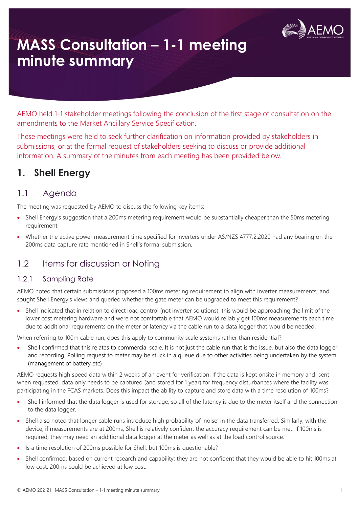

# **MASS Consultation – 1-1 meeting minute summary**

AEMO held 1-1 stakeholder meetings following the conclusion of the first stage of consultation on the amendments to the Market Ancillary Service Specification.

These meetings were held to seek further clarification on information provided by stakeholders in submissions, or at the formal request of stakeholders seeking to discuss or provide additional information. A summary of the minutes from each meeting has been provided below.

### **1. Shell Energy**

#### 1.1 Agenda

The meeting was requested by AEMO to discuss the following key items:

- Shell Energy's suggestion that a 200ms metering requirement would be substantially cheaper than the 50ms metering requirement
- Whether the active power measurement time specified for inverters under AS/NZS 4777.2:2020 had any bearing on the 200ms data capture rate mentioned in Shell's formal submission.

#### 1.2 Items for discussion or Noting

#### 1.2.1 Sampling Rate

AEMO noted that certain submissions proposed a 100ms metering requirement to align with inverter measurements; and sought Shell Energy's views and queried whether the gate meter can be upgraded to meet this requirement?

• Shell indicated that in relation to direct load control (not inverter solutions), this would be approaching the limit of the lower cost metering hardware and were not comfortable that AEMO would reliably get 100ms measurements each time due to additional requirements on the meter or latency via the cable run to a data logger that would be needed.

When referring to 100m cable run, does this apply to community scale systems rather than residential?

• Shell confirmed that this relates to commercial scale. It is not just the cable run that is the issue, but also the data logger and recording. Polling request to meter may be stuck in a queue due to other activities being undertaken by the system (management of battery etc)

AEMO requests high speed data within 2 weeks of an event for verification. If the data is kept onsite in memory and sent when requested, data only needs to be captured (and stored for 1 year) for frequency disturbances where the facility was participating in the FCAS markets. Does this impact the ability to capture and store data with a time resolution of 100ms?

- Shell informed that the data logger is used for storage, so all of the latency is due to the meter itself and the connection to the data logger.
- Shell also noted that longer cable runs introduce high probability of 'noise' in the data transferred. Similarly, with the device, if measurements are at 200ms, Shell is relatively confident the accuracy requirement can be met. If 100ms is required, they may need an additional data logger at the meter as well as at the load control source.
- Is a time resolution of 200ms possible for Shell, but 100ms is questionable?
- Shell confirmed, based on current research and capability; they are not confident that they would be able to hit 100ms at low cost. 200ms could be achieved at low cost.